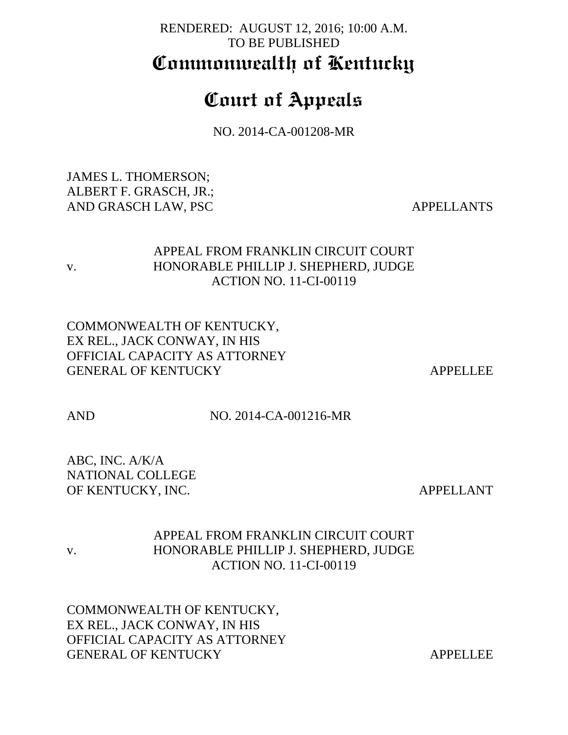# RENDERED: AUGUST 12, 2016; 10:00 A.M. TO BE PUBLISHED **Commonwealth of Kentucky**

# **Court of Appeals**

NO. 2014-CA-001208-MR

JAMES L. THOMERSON; ALBERT F. GRASCH, JR.; AND GRASCH LAW, PSC APPELLANTS

# APPEAL FROM FRANKLIN CIRCUIT COURT v. HONORABLE PHILLIP J. SHEPHERD, JUDGE ACTION NO. 11-CI-00119

COMMONWEALTH OF KENTUCKY, EX REL., JACK CONWAY, IN HIS OFFICIAL CAPACITY AS ATTORNEY GENERAL OF KENTUCKY APPELLEE

AND NO. 2014-CA-001216-MR

ABC, INC. A/K/A NATIONAL COLLEGE OF KENTUCKY, INC. APPELLANT

# APPEAL FROM FRANKLIN CIRCUIT COURT v. HONORABLE PHILLIP J. SHEPHERD, JUDGE ACTION NO. 11-CI-00119

COMMONWEALTH OF KENTUCKY, EX REL., JACK CONWAY, IN HIS OFFICIAL CAPACITY AS ATTORNEY GENERAL OF KENTUCKY APPELLEE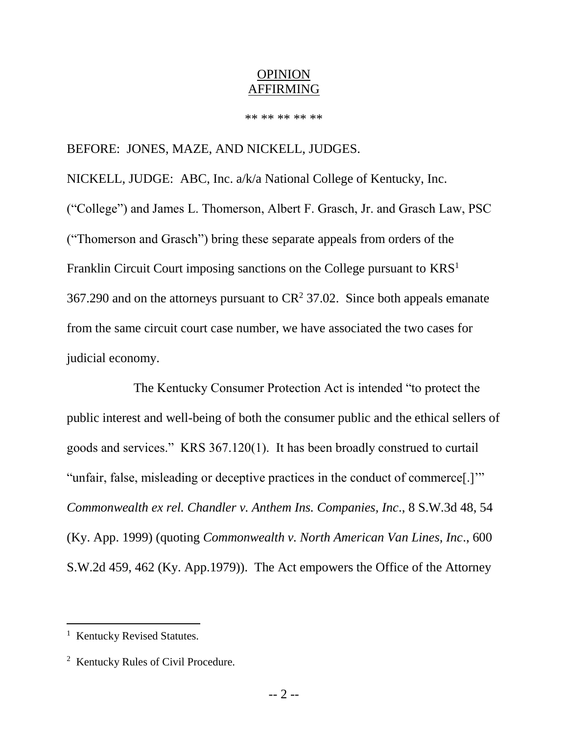#### OPINION AFFIRMING

\*\* \*\* \*\* \*\* \*\*

## BEFORE: JONES, MAZE, AND NICKELL, JUDGES.

NICKELL, JUDGE: ABC, Inc. a/k/a National College of Kentucky, Inc. ("College") and James L. Thomerson, Albert F. Grasch, Jr. and Grasch Law, PSC ("Thomerson and Grasch") bring these separate appeals from orders of the Franklin Circuit Court imposing sanctions on the College pursuant to KRS<sup>1</sup> 367.290 and on the attorneys pursuant to  $CR^2$  37.02. Since both appeals emanate from the same circuit court case number, we have associated the two cases for judicial economy.

The Kentucky Consumer Protection Act is intended "to protect the public interest and well-being of both the consumer public and the ethical sellers of goods and services." KRS 367.120(1). It has been broadly construed to curtail "unfair, false, misleading or deceptive practices in the conduct of commerce[.]'" *Commonwealth ex rel. Chandler v. Anthem Ins. Companies, Inc*., 8 S.W.3d 48, 54 (Ky. App. 1999) (quoting *Commonwealth v. North American Van Lines, Inc*., 600 S.W.2d 459, 462 (Ky. App.1979)). The Act empowers the Office of the Attorney

l

<sup>&</sup>lt;sup>1</sup> Kentucky Revised Statutes.

<sup>&</sup>lt;sup>2</sup> Kentucky Rules of Civil Procedure.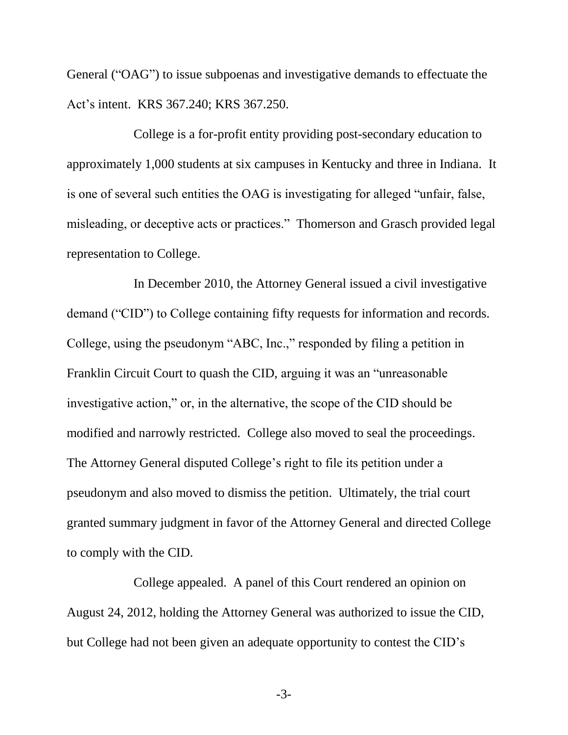General ("OAG") to issue subpoenas and investigative demands to effectuate the Act's intent. KRS 367.240; KRS 367.250.

College is a for-profit entity providing post-secondary education to approximately 1,000 students at six campuses in Kentucky and three in Indiana. It is one of several such entities the OAG is investigating for alleged "unfair, false, misleading, or deceptive acts or practices." Thomerson and Grasch provided legal representation to College.

In December 2010, the Attorney General issued a civil investigative demand ("CID") to College containing fifty requests for information and records. College, using the pseudonym "ABC, Inc.," responded by filing a petition in Franklin Circuit Court to quash the CID, arguing it was an "unreasonable investigative action," or, in the alternative, the scope of the CID should be modified and narrowly restricted. College also moved to seal the proceedings. The Attorney General disputed College's right to file its petition under a pseudonym and also moved to dismiss the petition. Ultimately, the trial court granted summary judgment in favor of the Attorney General and directed College to comply with the CID.

College appealed. A panel of this Court rendered an opinion on August 24, 2012, holding the Attorney General was authorized to issue the CID, but College had not been given an adequate opportunity to contest the CID's

-3-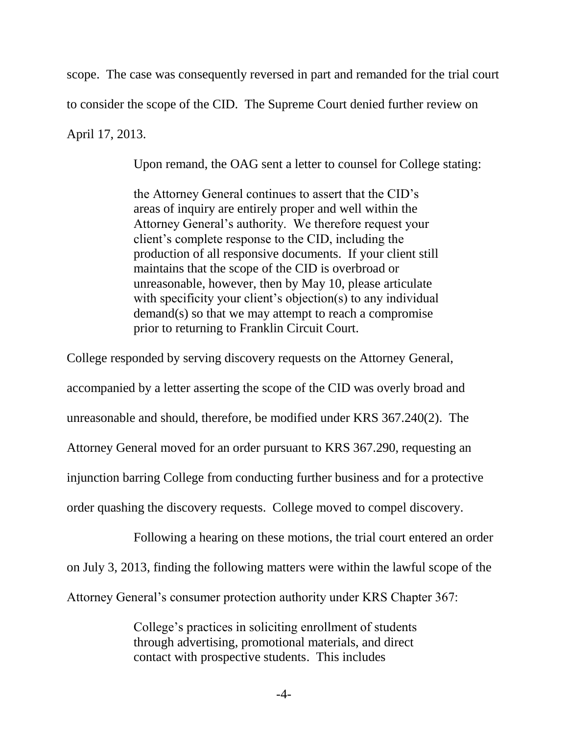scope. The case was consequently reversed in part and remanded for the trial court to consider the scope of the CID. The Supreme Court denied further review on April 17, 2013.

Upon remand, the OAG sent a letter to counsel for College stating:

the Attorney General continues to assert that the CID's areas of inquiry are entirely proper and well within the Attorney General's authority. We therefore request your client's complete response to the CID, including the production of all responsive documents. If your client still maintains that the scope of the CID is overbroad or unreasonable, however, then by May 10, please articulate with specificity your client's objection(s) to any individual demand(s) so that we may attempt to reach a compromise prior to returning to Franklin Circuit Court.

College responded by serving discovery requests on the Attorney General, accompanied by a letter asserting the scope of the CID was overly broad and unreasonable and should, therefore, be modified under KRS 367.240(2). The Attorney General moved for an order pursuant to KRS 367.290, requesting an injunction barring College from conducting further business and for a protective order quashing the discovery requests. College moved to compel discovery.

Following a hearing on these motions, the trial court entered an order on July 3, 2013, finding the following matters were within the lawful scope of the Attorney General's consumer protection authority under KRS Chapter 367:

> College's practices in soliciting enrollment of students through advertising, promotional materials, and direct contact with prospective students. This includes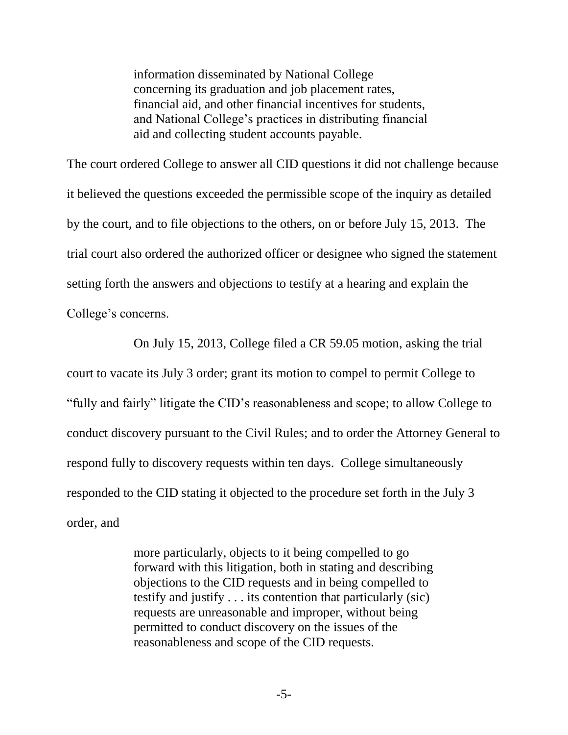information disseminated by National College concerning its graduation and job placement rates, financial aid, and other financial incentives for students, and National College's practices in distributing financial aid and collecting student accounts payable.

The court ordered College to answer all CID questions it did not challenge because it believed the questions exceeded the permissible scope of the inquiry as detailed by the court, and to file objections to the others, on or before July 15, 2013. The trial court also ordered the authorized officer or designee who signed the statement setting forth the answers and objections to testify at a hearing and explain the College's concerns.

On July 15, 2013, College filed a CR 59.05 motion, asking the trial court to vacate its July 3 order; grant its motion to compel to permit College to "fully and fairly" litigate the CID's reasonableness and scope; to allow College to conduct discovery pursuant to the Civil Rules; and to order the Attorney General to respond fully to discovery requests within ten days. College simultaneously responded to the CID stating it objected to the procedure set forth in the July 3 order, and

> more particularly, objects to it being compelled to go forward with this litigation, both in stating and describing objections to the CID requests and in being compelled to testify and justify . . . its contention that particularly (sic) requests are unreasonable and improper, without being permitted to conduct discovery on the issues of the reasonableness and scope of the CID requests.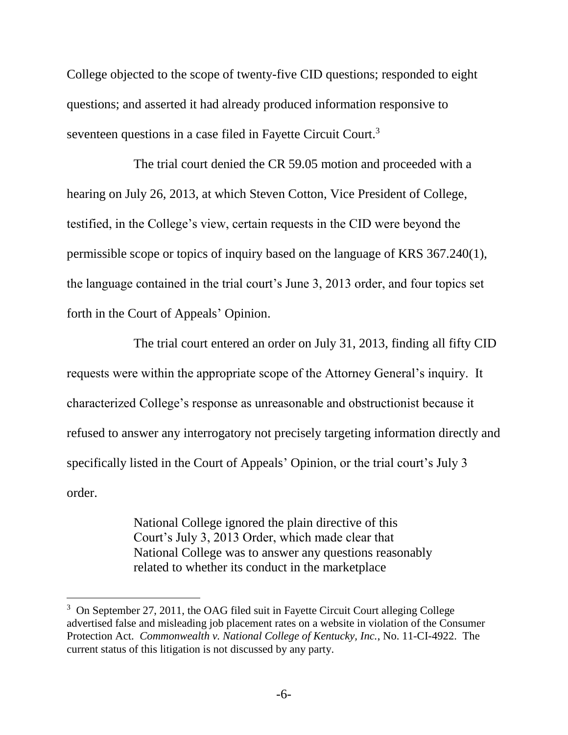College objected to the scope of twenty-five CID questions; responded to eight questions; and asserted it had already produced information responsive to seventeen questions in a case filed in Fayette Circuit Court.<sup>3</sup>

The trial court denied the CR 59.05 motion and proceeded with a hearing on July 26, 2013, at which Steven Cotton, Vice President of College, testified, in the College's view, certain requests in the CID were beyond the permissible scope or topics of inquiry based on the language of KRS 367.240(1), the language contained in the trial court's June 3, 2013 order, and four topics set forth in the Court of Appeals' Opinion.

The trial court entered an order on July 31, 2013, finding all fifty CID requests were within the appropriate scope of the Attorney General's inquiry. It characterized College's response as unreasonable and obstructionist because it refused to answer any interrogatory not precisely targeting information directly and specifically listed in the Court of Appeals' Opinion, or the trial court's July 3 order.

> National College ignored the plain directive of this Court's July 3, 2013 Order, which made clear that National College was to answer any questions reasonably related to whether its conduct in the marketplace

 $\overline{a}$ 

<sup>&</sup>lt;sup>3</sup> On September 27, 2011, the OAG filed suit in Fayette Circuit Court alleging College advertised false and misleading job placement rates on a website in violation of the Consumer Protection Act. *Commonwealth v. National College of Kentucky, Inc.*, No. 11-CI-4922. The current status of this litigation is not discussed by any party.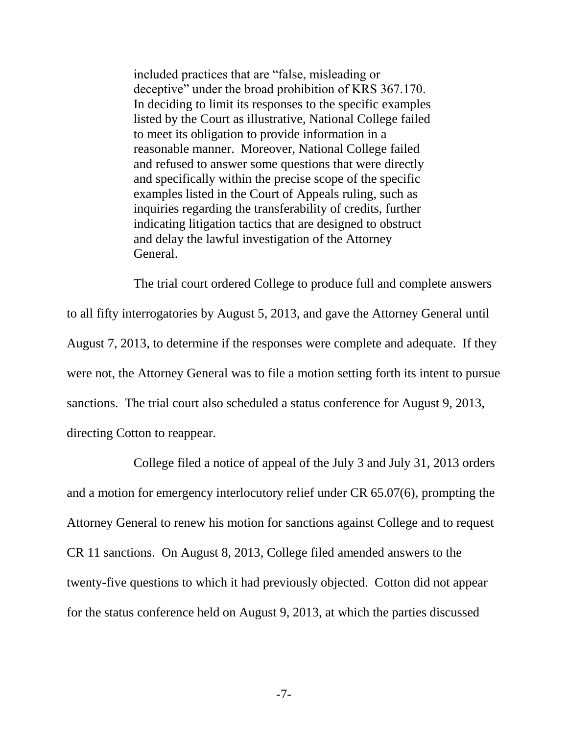included practices that are "false, misleading or deceptive" under the broad prohibition of KRS 367.170. In deciding to limit its responses to the specific examples listed by the Court as illustrative, National College failed to meet its obligation to provide information in a reasonable manner. Moreover, National College failed and refused to answer some questions that were directly and specifically within the precise scope of the specific examples listed in the Court of Appeals ruling, such as inquiries regarding the transferability of credits, further indicating litigation tactics that are designed to obstruct and delay the lawful investigation of the Attorney General.

The trial court ordered College to produce full and complete answers to all fifty interrogatories by August 5, 2013, and gave the Attorney General until August 7, 2013, to determine if the responses were complete and adequate. If they were not, the Attorney General was to file a motion setting forth its intent to pursue sanctions. The trial court also scheduled a status conference for August 9, 2013, directing Cotton to reappear.

College filed a notice of appeal of the July 3 and July 31, 2013 orders and a motion for emergency interlocutory relief under CR 65.07(6), prompting the Attorney General to renew his motion for sanctions against College and to request CR 11 sanctions. On August 8, 2013, College filed amended answers to the twenty-five questions to which it had previously objected. Cotton did not appear for the status conference held on August 9, 2013, at which the parties discussed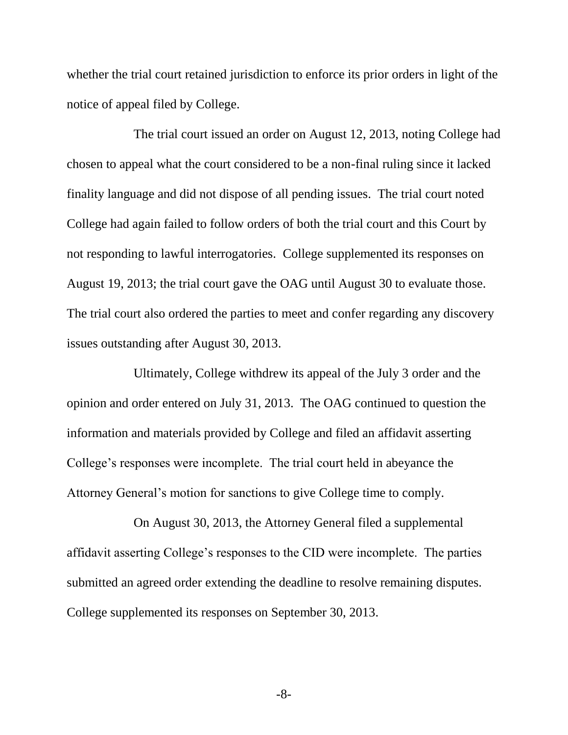whether the trial court retained jurisdiction to enforce its prior orders in light of the notice of appeal filed by College.

The trial court issued an order on August 12, 2013, noting College had chosen to appeal what the court considered to be a non-final ruling since it lacked finality language and did not dispose of all pending issues. The trial court noted College had again failed to follow orders of both the trial court and this Court by not responding to lawful interrogatories. College supplemented its responses on August 19, 2013; the trial court gave the OAG until August 30 to evaluate those. The trial court also ordered the parties to meet and confer regarding any discovery issues outstanding after August 30, 2013.

Ultimately, College withdrew its appeal of the July 3 order and the opinion and order entered on July 31, 2013. The OAG continued to question the information and materials provided by College and filed an affidavit asserting College's responses were incomplete. The trial court held in abeyance the Attorney General's motion for sanctions to give College time to comply.

On August 30, 2013, the Attorney General filed a supplemental affidavit asserting College's responses to the CID were incomplete. The parties submitted an agreed order extending the deadline to resolve remaining disputes. College supplemented its responses on September 30, 2013.

-8-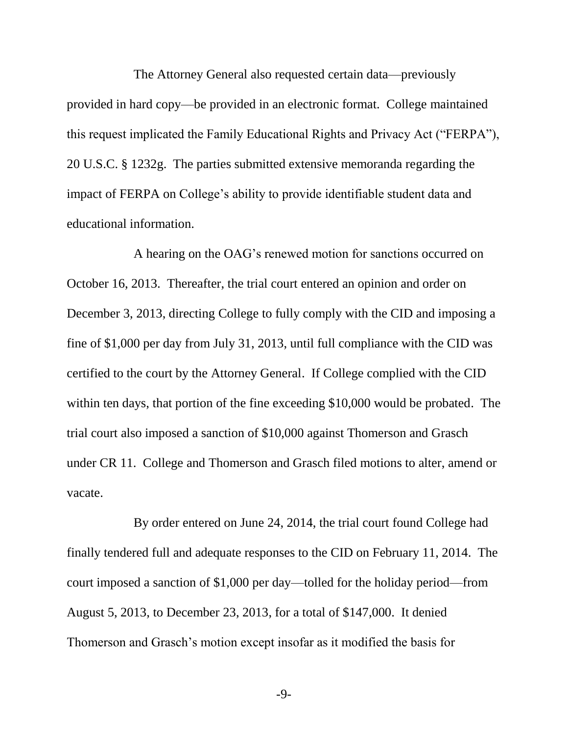The Attorney General also requested certain data—previously provided in hard copy—be provided in an electronic format. College maintained this request implicated the Family Educational Rights and Privacy Act ("FERPA"), 20 U.S.C. § 1232g. The parties submitted extensive memoranda regarding the impact of FERPA on College's ability to provide identifiable student data and educational information.

A hearing on the OAG's renewed motion for sanctions occurred on October 16, 2013. Thereafter, the trial court entered an opinion and order on December 3, 2013, directing College to fully comply with the CID and imposing a fine of \$1,000 per day from July 31, 2013, until full compliance with the CID was certified to the court by the Attorney General. If College complied with the CID within ten days, that portion of the fine exceeding \$10,000 would be probated. The trial court also imposed a sanction of \$10,000 against Thomerson and Grasch under CR 11. College and Thomerson and Grasch filed motions to alter, amend or vacate.

By order entered on June 24, 2014, the trial court found College had finally tendered full and adequate responses to the CID on February 11, 2014. The court imposed a sanction of \$1,000 per day—tolled for the holiday period—from August 5, 2013, to December 23, 2013, for a total of \$147,000. It denied Thomerson and Grasch's motion except insofar as it modified the basis for

-9-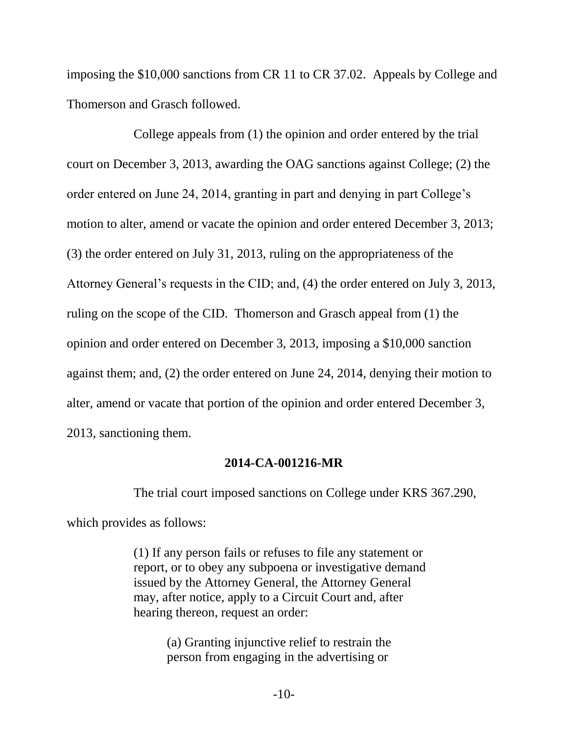imposing the \$10,000 sanctions from CR 11 to CR 37.02. Appeals by College and Thomerson and Grasch followed.

College appeals from (1) the opinion and order entered by the trial court on December 3, 2013, awarding the OAG sanctions against College; (2) the order entered on June 24, 2014, granting in part and denying in part College's motion to alter, amend or vacate the opinion and order entered December 3, 2013; (3) the order entered on July 31, 2013, ruling on the appropriateness of the Attorney General's requests in the CID; and, (4) the order entered on July 3, 2013, ruling on the scope of the CID. Thomerson and Grasch appeal from (1) the opinion and order entered on December 3, 2013, imposing a \$10,000 sanction against them; and, (2) the order entered on June 24, 2014, denying their motion to alter, amend or vacate that portion of the opinion and order entered December 3, 2013, sanctioning them.

#### **2014-CA-001216-MR**

The trial court imposed sanctions on College under KRS 367.290,

which provides as follows:

(1) If any person fails or refuses to file any statement or report, or to obey any subpoena or investigative demand issued by the Attorney General, the Attorney General may, after notice, apply to a Circuit Court and, after hearing thereon, request an order:

> (a) Granting injunctive relief to restrain the person from engaging in the advertising or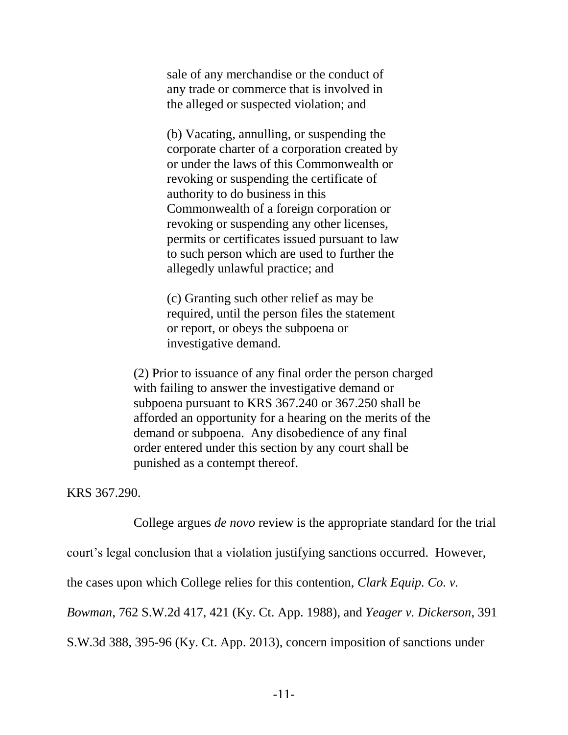sale of any merchandise or the conduct of any trade or commerce that is involved in the alleged or suspected violation; and

(b) Vacating, annulling, or suspending the corporate charter of a corporation created by or under the laws of this Commonwealth or revoking or suspending the certificate of authority to do business in this Commonwealth of a foreign corporation or revoking or suspending any other licenses, permits or certificates issued pursuant to law to such person which are used to further the allegedly unlawful practice; and

(c) Granting such other relief as may be required, until the person files the statement or report, or obeys the subpoena or investigative demand.

(2) Prior to issuance of any final order the person charged with failing to answer the investigative demand or subpoena pursuant to KRS 367.240 or 367.250 shall be afforded an opportunity for a hearing on the merits of the demand or subpoena. Any disobedience of any final order entered under this section by any court shall be punished as a contempt thereof.

KRS 367.290.

College argues *de novo* review is the appropriate standard for the trial

court's legal conclusion that a violation justifying sanctions occurred. However,

the cases upon which College relies for this contention, *Clark Equip. Co. v.* 

*Bowman*, 762 S.W.2d 417, 421 (Ky. Ct. App. 1988), and *Yeager v. Dickerson*, 391

S.W.3d 388, 395-96 (Ky. Ct. App. 2013), concern imposition of sanctions under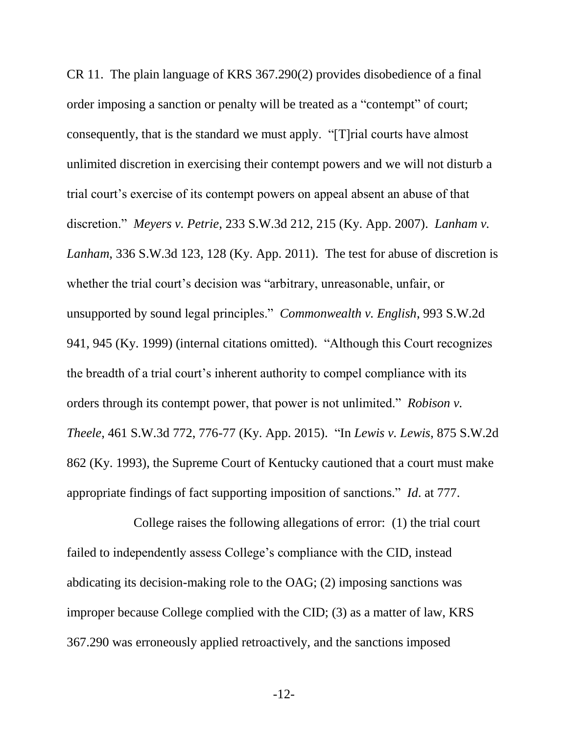CR 11. The plain language of KRS 367.290(2) provides disobedience of a final order imposing a sanction or penalty will be treated as a "contempt" of court; consequently, that is the standard we must apply. "[T]rial courts have almost unlimited discretion in exercising their contempt powers and we will not disturb a trial court's exercise of its contempt powers on appeal absent an abuse of that discretion." *Meyers v. Petrie*, 233 S.W.3d 212, 215 (Ky. App. 2007). *Lanham v. Lanham*, 336 S.W.3d 123, 128 (Ky. App. 2011). The test for abuse of discretion is whether the trial court's decision was "arbitrary, unreasonable, unfair, or unsupported by sound legal principles." *Commonwealth v. English*, 993 S.W.2d 941, 945 (Ky. 1999) (internal citations omitted). "Although this Court recognizes the breadth of a trial court's inherent authority to compel compliance with its orders through its contempt power, that power is not unlimited." *Robison v. Theele*, 461 S.W.3d 772, 776-77 (Ky. App. 2015). "In *Lewis v. Lewis*, 875 S.W.2d 862 (Ky. 1993), the Supreme Court of Kentucky cautioned that a court must make appropriate findings of fact supporting imposition of sanctions." *Id*. at 777.

College raises the following allegations of error: (1) the trial court failed to independently assess College's compliance with the CID, instead abdicating its decision-making role to the OAG; (2) imposing sanctions was improper because College complied with the CID; (3) as a matter of law, KRS 367.290 was erroneously applied retroactively, and the sanctions imposed

-12-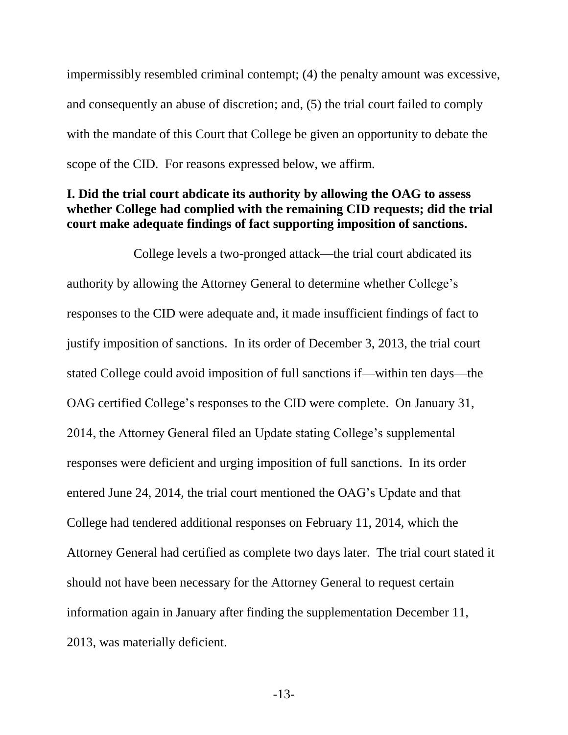impermissibly resembled criminal contempt; (4) the penalty amount was excessive, and consequently an abuse of discretion; and, (5) the trial court failed to comply with the mandate of this Court that College be given an opportunity to debate the scope of the CID. For reasons expressed below, we affirm.

## **I. Did the trial court abdicate its authority by allowing the OAG to assess whether College had complied with the remaining CID requests; did the trial court make adequate findings of fact supporting imposition of sanctions.**

College levels a two-pronged attack—the trial court abdicated its authority by allowing the Attorney General to determine whether College's responses to the CID were adequate and, it made insufficient findings of fact to justify imposition of sanctions. In its order of December 3, 2013, the trial court stated College could avoid imposition of full sanctions if—within ten days—the OAG certified College's responses to the CID were complete. On January 31, 2014, the Attorney General filed an Update stating College's supplemental responses were deficient and urging imposition of full sanctions. In its order entered June 24, 2014, the trial court mentioned the OAG's Update and that College had tendered additional responses on February 11, 2014, which the Attorney General had certified as complete two days later. The trial court stated it should not have been necessary for the Attorney General to request certain information again in January after finding the supplementation December 11, 2013, was materially deficient.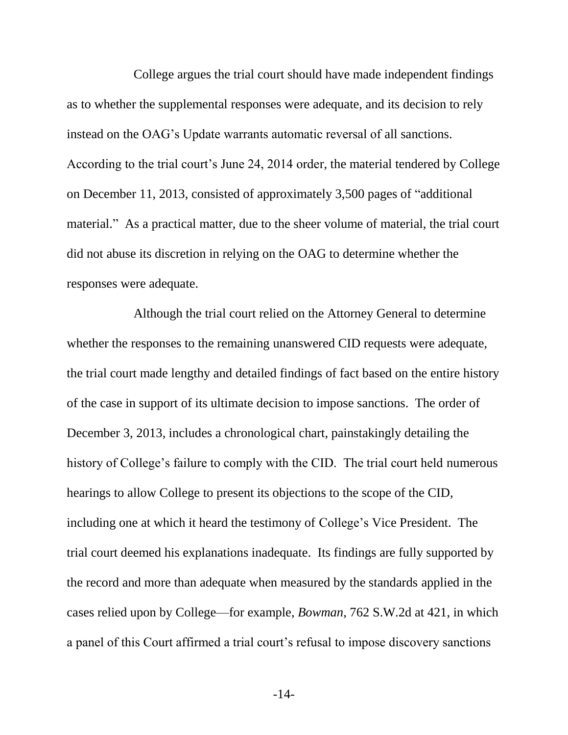College argues the trial court should have made independent findings as to whether the supplemental responses were adequate, and its decision to rely instead on the OAG's Update warrants automatic reversal of all sanctions. According to the trial court's June 24, 2014 order, the material tendered by College on December 11, 2013, consisted of approximately 3,500 pages of "additional material." As a practical matter, due to the sheer volume of material, the trial court did not abuse its discretion in relying on the OAG to determine whether the responses were adequate.

Although the trial court relied on the Attorney General to determine whether the responses to the remaining unanswered CID requests were adequate, the trial court made lengthy and detailed findings of fact based on the entire history of the case in support of its ultimate decision to impose sanctions. The order of December 3, 2013, includes a chronological chart, painstakingly detailing the history of College's failure to comply with the CID. The trial court held numerous hearings to allow College to present its objections to the scope of the CID, including one at which it heard the testimony of College's Vice President. The trial court deemed his explanations inadequate. Its findings are fully supported by the record and more than adequate when measured by the standards applied in the cases relied upon by College—for example, *Bowman*, 762 S.W.2d at 421, in which a panel of this Court affirmed a trial court's refusal to impose discovery sanctions

-14-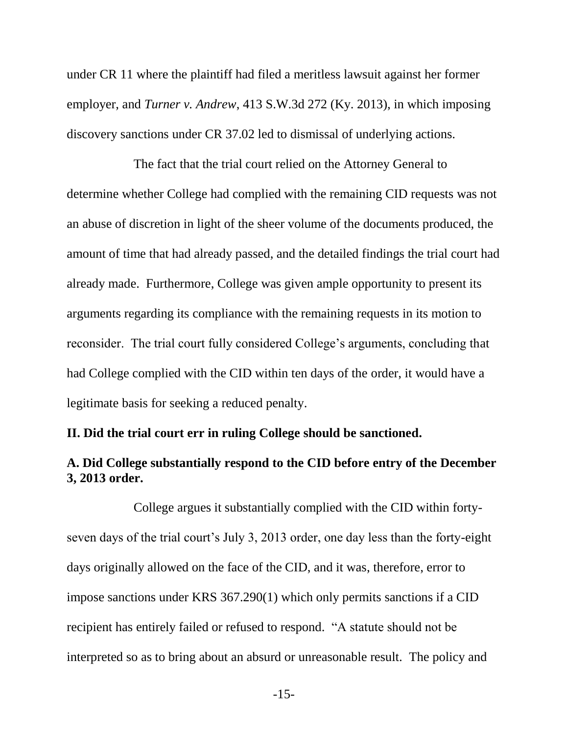under CR 11 where the plaintiff had filed a meritless lawsuit against her former employer, and *Turner v. Andrew*, 413 S.W.3d 272 (Ky. 2013), in which imposing discovery sanctions under CR 37.02 led to dismissal of underlying actions.

The fact that the trial court relied on the Attorney General to determine whether College had complied with the remaining CID requests was not an abuse of discretion in light of the sheer volume of the documents produced, the amount of time that had already passed, and the detailed findings the trial court had already made. Furthermore, College was given ample opportunity to present its arguments regarding its compliance with the remaining requests in its motion to reconsider. The trial court fully considered College's arguments, concluding that had College complied with the CID within ten days of the order, it would have a legitimate basis for seeking a reduced penalty.

#### **II. Did the trial court err in ruling College should be sanctioned.**

# **A. Did College substantially respond to the CID before entry of the December 3, 2013 order.**

College argues it substantially complied with the CID within fortyseven days of the trial court's July 3, 2013 order, one day less than the forty-eight days originally allowed on the face of the CID, and it was, therefore, error to impose sanctions under KRS 367.290(1) which only permits sanctions if a CID recipient has entirely failed or refused to respond. "A statute should not be interpreted so as to bring about an absurd or unreasonable result. The policy and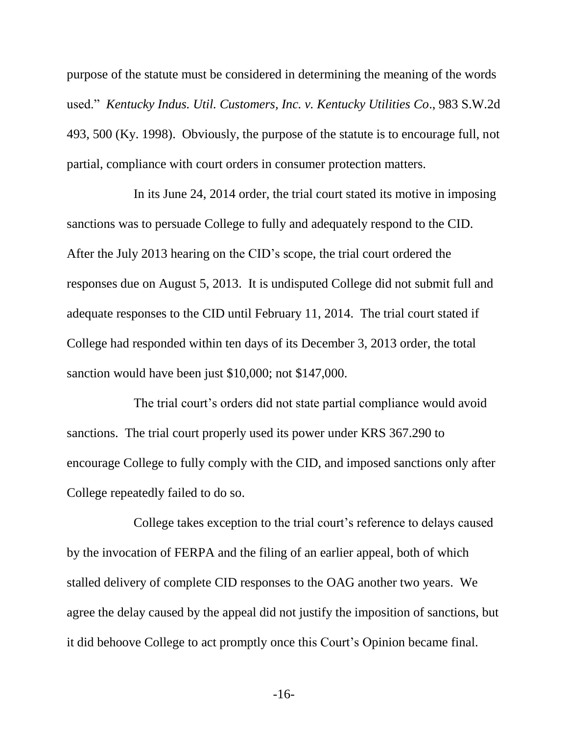purpose of the statute must be considered in determining the meaning of the words used." *Kentucky Indus. Util. Customers, Inc. v. Kentucky Utilities Co*., 983 S.W.2d 493, 500 (Ky. 1998). Obviously, the purpose of the statute is to encourage full, not partial, compliance with court orders in consumer protection matters.

In its June 24, 2014 order, the trial court stated its motive in imposing sanctions was to persuade College to fully and adequately respond to the CID. After the July 2013 hearing on the CID's scope, the trial court ordered the responses due on August 5, 2013. It is undisputed College did not submit full and adequate responses to the CID until February 11, 2014. The trial court stated if College had responded within ten days of its December 3, 2013 order, the total sanction would have been just \$10,000; not \$147,000.

The trial court's orders did not state partial compliance would avoid sanctions. The trial court properly used its power under KRS 367.290 to encourage College to fully comply with the CID, and imposed sanctions only after College repeatedly failed to do so.

College takes exception to the trial court's reference to delays caused by the invocation of FERPA and the filing of an earlier appeal, both of which stalled delivery of complete CID responses to the OAG another two years. We agree the delay caused by the appeal did not justify the imposition of sanctions, but it did behoove College to act promptly once this Court's Opinion became final.

-16-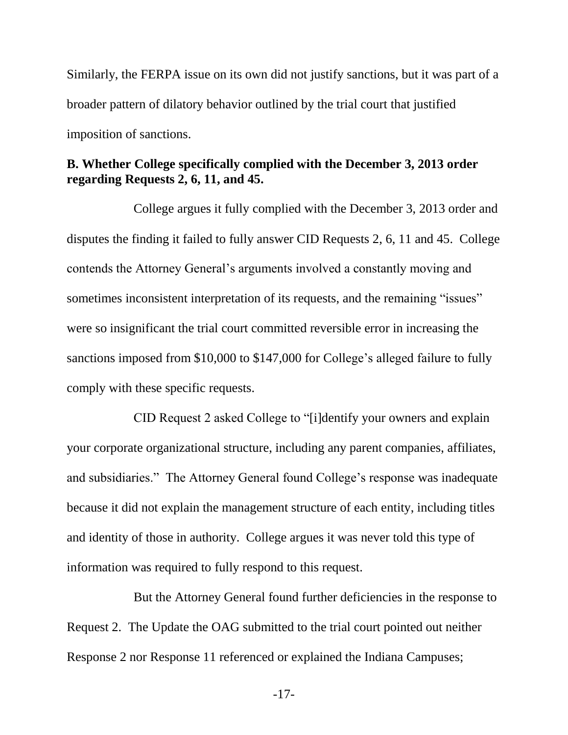Similarly, the FERPA issue on its own did not justify sanctions, but it was part of a broader pattern of dilatory behavior outlined by the trial court that justified imposition of sanctions.

# **B. Whether College specifically complied with the December 3, 2013 order regarding Requests 2, 6, 11, and 45.**

College argues it fully complied with the December 3, 2013 order and disputes the finding it failed to fully answer CID Requests 2, 6, 11 and 45. College contends the Attorney General's arguments involved a constantly moving and sometimes inconsistent interpretation of its requests, and the remaining "issues" were so insignificant the trial court committed reversible error in increasing the sanctions imposed from \$10,000 to \$147,000 for College's alleged failure to fully comply with these specific requests.

CID Request 2 asked College to "[i]dentify your owners and explain your corporate organizational structure, including any parent companies, affiliates, and subsidiaries." The Attorney General found College's response was inadequate because it did not explain the management structure of each entity, including titles and identity of those in authority. College argues it was never told this type of information was required to fully respond to this request.

But the Attorney General found further deficiencies in the response to Request 2. The Update the OAG submitted to the trial court pointed out neither Response 2 nor Response 11 referenced or explained the Indiana Campuses;

-17-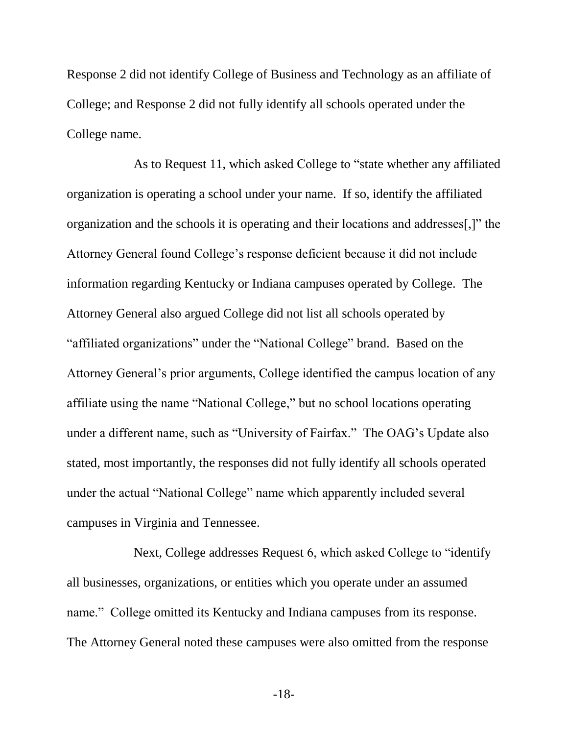Response 2 did not identify College of Business and Technology as an affiliate of College; and Response 2 did not fully identify all schools operated under the College name.

As to Request 11, which asked College to "state whether any affiliated organization is operating a school under your name. If so, identify the affiliated organization and the schools it is operating and their locations and addresses[,]" the Attorney General found College's response deficient because it did not include information regarding Kentucky or Indiana campuses operated by College. The Attorney General also argued College did not list all schools operated by "affiliated organizations" under the "National College" brand. Based on the Attorney General's prior arguments, College identified the campus location of any affiliate using the name "National College," but no school locations operating under a different name, such as "University of Fairfax." The OAG's Update also stated, most importantly, the responses did not fully identify all schools operated under the actual "National College" name which apparently included several campuses in Virginia and Tennessee.

Next, College addresses Request 6, which asked College to "identify all businesses, organizations, or entities which you operate under an assumed name." College omitted its Kentucky and Indiana campuses from its response. The Attorney General noted these campuses were also omitted from the response

-18-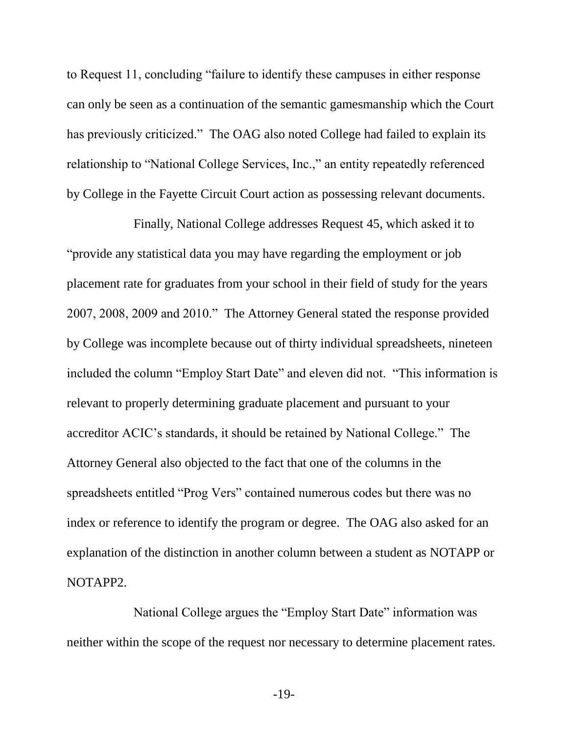to Request 11, concluding "failure to identify these campuses in either response can only be seen as a continuation of the semantic gamesmanship which the Court has previously criticized." The OAG also noted College had failed to explain its relationship to "National College Services, Inc.," an entity repeatedly referenced by College in the Fayette Circuit Court action as possessing relevant documents.

Finally, National College addresses Request 45, which asked it to "provide any statistical data you may have regarding the employment or job placement rate for graduates from your school in their field of study for the years 2007, 2008, 2009 and 2010." The Attorney General stated the response provided by College was incomplete because out of thirty individual spreadsheets, nineteen included the column "Employ Start Date" and eleven did not. "This information is relevant to properly determining graduate placement and pursuant to your accreditor ACIC's standards, it should be retained by National College." The Attorney General also objected to the fact that one of the columns in the spreadsheets entitled "Prog Vers" contained numerous codes but there was no index or reference to identify the program or degree. The OAG also asked for an explanation of the distinction in another column between a student as NOTAPP or NOTAPP2.

National College argues the "Employ Start Date" information was neither within the scope of the request nor necessary to determine placement rates.

-19-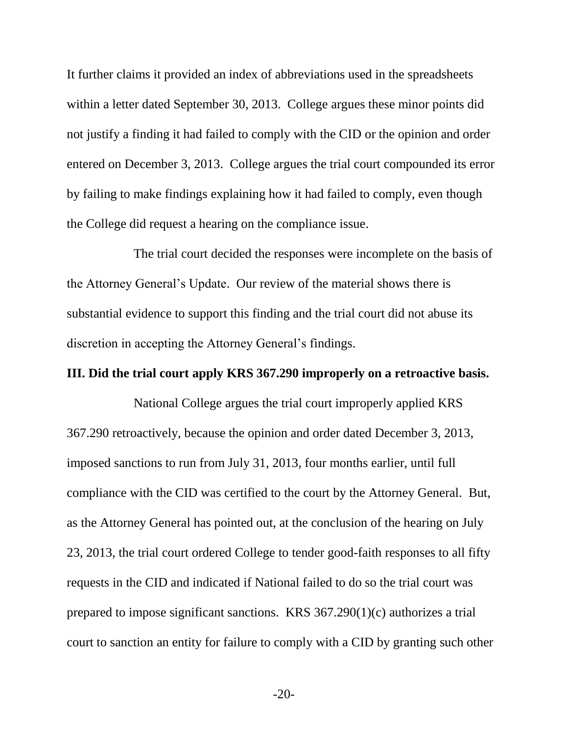It further claims it provided an index of abbreviations used in the spreadsheets within a letter dated September 30, 2013. College argues these minor points did not justify a finding it had failed to comply with the CID or the opinion and order entered on December 3, 2013. College argues the trial court compounded its error by failing to make findings explaining how it had failed to comply, even though the College did request a hearing on the compliance issue.

The trial court decided the responses were incomplete on the basis of the Attorney General's Update. Our review of the material shows there is substantial evidence to support this finding and the trial court did not abuse its discretion in accepting the Attorney General's findings.

#### **III. Did the trial court apply KRS 367.290 improperly on a retroactive basis.**

National College argues the trial court improperly applied KRS 367.290 retroactively, because the opinion and order dated December 3, 2013, imposed sanctions to run from July 31, 2013, four months earlier, until full compliance with the CID was certified to the court by the Attorney General. But, as the Attorney General has pointed out, at the conclusion of the hearing on July 23, 2013, the trial court ordered College to tender good-faith responses to all fifty requests in the CID and indicated if National failed to do so the trial court was prepared to impose significant sanctions. KRS 367.290(1)(c) authorizes a trial court to sanction an entity for failure to comply with a CID by granting such other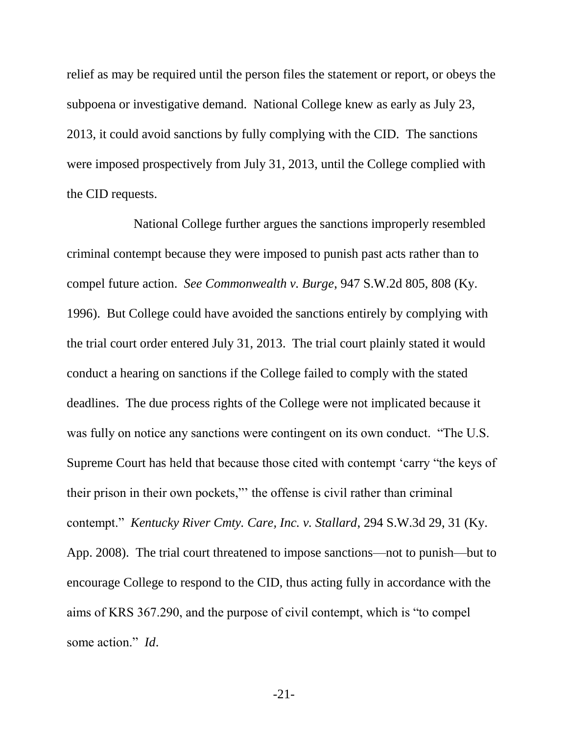relief as may be required until the person files the statement or report, or obeys the subpoena or investigative demand. National College knew as early as July 23, 2013, it could avoid sanctions by fully complying with the CID. The sanctions were imposed prospectively from July 31, 2013, until the College complied with the CID requests.

National College further argues the sanctions improperly resembled criminal contempt because they were imposed to punish past acts rather than to compel future action. *See Commonwealth v. Burge*, 947 S.W.2d 805, 808 (Ky. 1996). But College could have avoided the sanctions entirely by complying with the trial court order entered July 31, 2013. The trial court plainly stated it would conduct a hearing on sanctions if the College failed to comply with the stated deadlines. The due process rights of the College were not implicated because it was fully on notice any sanctions were contingent on its own conduct. "The U.S. Supreme Court has held that because those cited with contempt 'carry "the keys of their prison in their own pockets,"' the offense is civil rather than criminal contempt." *Kentucky River Cmty. Care, Inc. v. Stallard*, 294 S.W.3d 29, 31 (Ky. App. 2008). The trial court threatened to impose sanctions—not to punish—but to encourage College to respond to the CID, thus acting fully in accordance with the aims of KRS 367.290, and the purpose of civil contempt, which is "to compel some action." *Id*.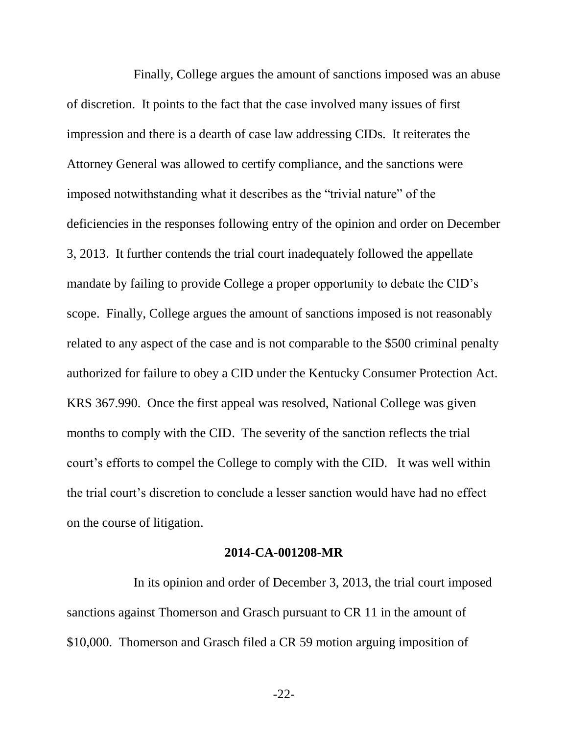Finally, College argues the amount of sanctions imposed was an abuse of discretion. It points to the fact that the case involved many issues of first impression and there is a dearth of case law addressing CIDs. It reiterates the Attorney General was allowed to certify compliance, and the sanctions were imposed notwithstanding what it describes as the "trivial nature" of the deficiencies in the responses following entry of the opinion and order on December 3, 2013. It further contends the trial court inadequately followed the appellate mandate by failing to provide College a proper opportunity to debate the CID's scope. Finally, College argues the amount of sanctions imposed is not reasonably related to any aspect of the case and is not comparable to the \$500 criminal penalty authorized for failure to obey a CID under the Kentucky Consumer Protection Act. KRS 367.990. Once the first appeal was resolved, National College was given months to comply with the CID. The severity of the sanction reflects the trial court's efforts to compel the College to comply with the CID. It was well within the trial court's discretion to conclude a lesser sanction would have had no effect on the course of litigation.

#### **2014-CA-001208-MR**

In its opinion and order of December 3, 2013, the trial court imposed sanctions against Thomerson and Grasch pursuant to CR 11 in the amount of \$10,000. Thomerson and Grasch filed a CR 59 motion arguing imposition of

-22-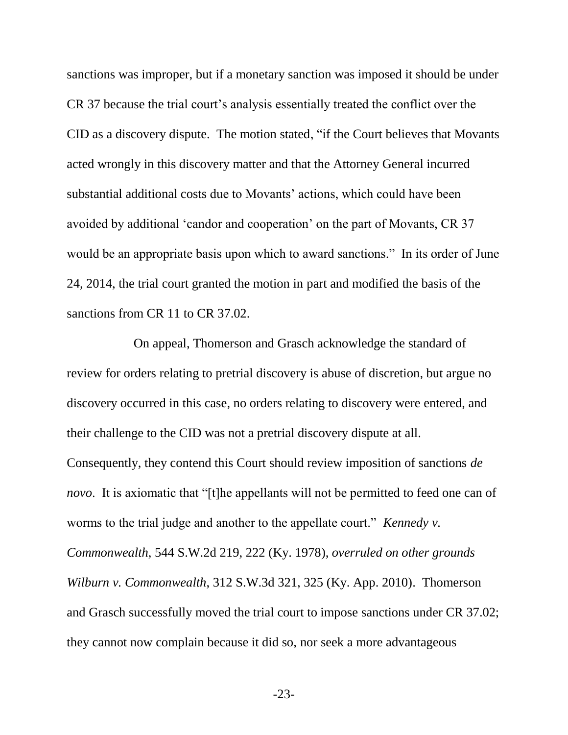sanctions was improper, but if a monetary sanction was imposed it should be under CR 37 because the trial court's analysis essentially treated the conflict over the CID as a discovery dispute. The motion stated, "if the Court believes that Movants acted wrongly in this discovery matter and that the Attorney General incurred substantial additional costs due to Movants' actions, which could have been avoided by additional 'candor and cooperation' on the part of Movants, CR 37 would be an appropriate basis upon which to award sanctions." In its order of June 24, 2014, the trial court granted the motion in part and modified the basis of the sanctions from CR 11 to CR 37.02.

On appeal, Thomerson and Grasch acknowledge the standard of review for orders relating to pretrial discovery is abuse of discretion, but argue no discovery occurred in this case, no orders relating to discovery were entered, and their challenge to the CID was not a pretrial discovery dispute at all. Consequently, they contend this Court should review imposition of sanctions *de novo*. It is axiomatic that "[t]he appellants will not be permitted to feed one can of worms to the trial judge and another to the appellate court." *Kennedy v. Commonwealth*, 544 S.W.2d 219, 222 (Ky. 1978), *overruled on other grounds Wilburn v. Commonwealth*, 312 S.W.3d 321, 325 (Ky. App. 2010). Thomerson and Grasch successfully moved the trial court to impose sanctions under CR 37.02; they cannot now complain because it did so, nor seek a more advantageous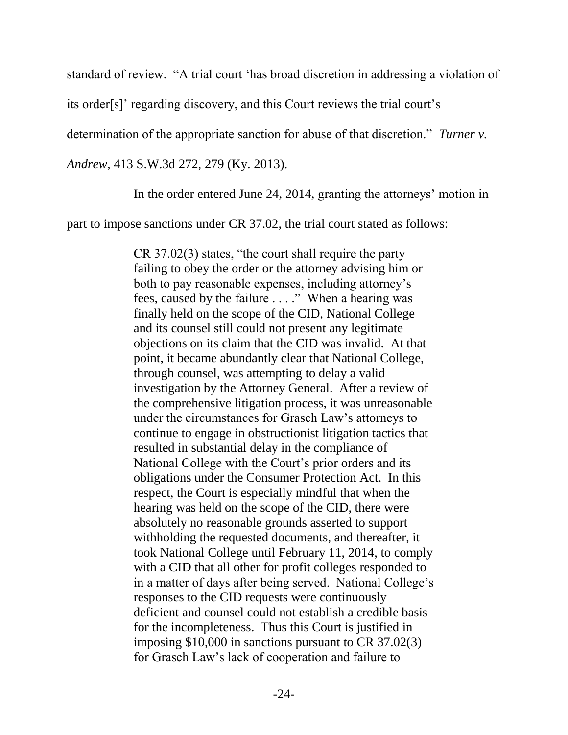standard of review. "A trial court 'has broad discretion in addressing a violation of

its order[s]' regarding discovery, and this Court reviews the trial court's

determination of the appropriate sanction for abuse of that discretion." *Turner v.* 

*Andrew*, 413 S.W.3d 272, 279 (Ky. 2013).

In the order entered June 24, 2014, granting the attorneys' motion in

part to impose sanctions under CR 37.02, the trial court stated as follows:

CR 37.02(3) states, "the court shall require the party failing to obey the order or the attorney advising him or both to pay reasonable expenses, including attorney's fees, caused by the failure . . . ." When a hearing was finally held on the scope of the CID, National College and its counsel still could not present any legitimate objections on its claim that the CID was invalid. At that point, it became abundantly clear that National College, through counsel, was attempting to delay a valid investigation by the Attorney General. After a review of the comprehensive litigation process, it was unreasonable under the circumstances for Grasch Law's attorneys to continue to engage in obstructionist litigation tactics that resulted in substantial delay in the compliance of National College with the Court's prior orders and its obligations under the Consumer Protection Act. In this respect, the Court is especially mindful that when the hearing was held on the scope of the CID, there were absolutely no reasonable grounds asserted to support withholding the requested documents, and thereafter, it took National College until February 11, 2014, to comply with a CID that all other for profit colleges responded to in a matter of days after being served. National College's responses to the CID requests were continuously deficient and counsel could not establish a credible basis for the incompleteness. Thus this Court is justified in imposing \$10,000 in sanctions pursuant to CR 37.02(3) for Grasch Law's lack of cooperation and failure to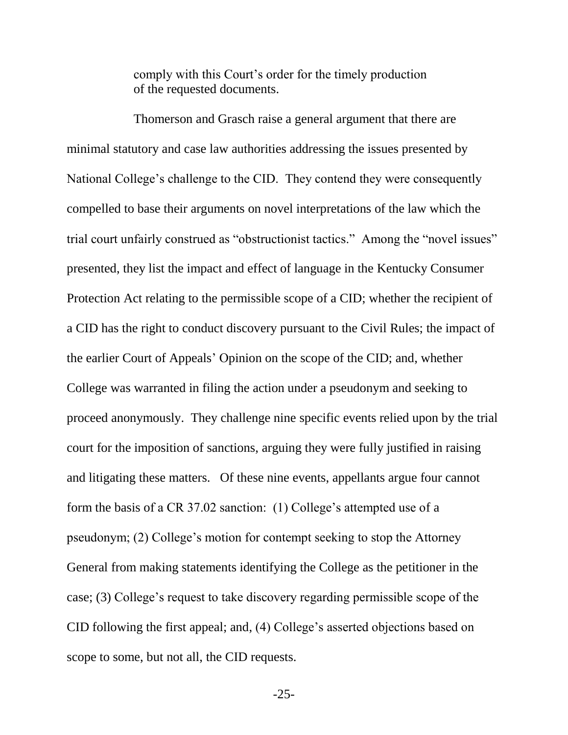comply with this Court's order for the timely production of the requested documents.

Thomerson and Grasch raise a general argument that there are minimal statutory and case law authorities addressing the issues presented by National College's challenge to the CID. They contend they were consequently compelled to base their arguments on novel interpretations of the law which the trial court unfairly construed as "obstructionist tactics." Among the "novel issues" presented, they list the impact and effect of language in the Kentucky Consumer Protection Act relating to the permissible scope of a CID; whether the recipient of a CID has the right to conduct discovery pursuant to the Civil Rules; the impact of the earlier Court of Appeals' Opinion on the scope of the CID; and, whether College was warranted in filing the action under a pseudonym and seeking to proceed anonymously. They challenge nine specific events relied upon by the trial court for the imposition of sanctions, arguing they were fully justified in raising and litigating these matters. Of these nine events, appellants argue four cannot form the basis of a CR 37.02 sanction: (1) College's attempted use of a pseudonym; (2) College's motion for contempt seeking to stop the Attorney General from making statements identifying the College as the petitioner in the case; (3) College's request to take discovery regarding permissible scope of the CID following the first appeal; and, (4) College's asserted objections based on scope to some, but not all, the CID requests.

-25-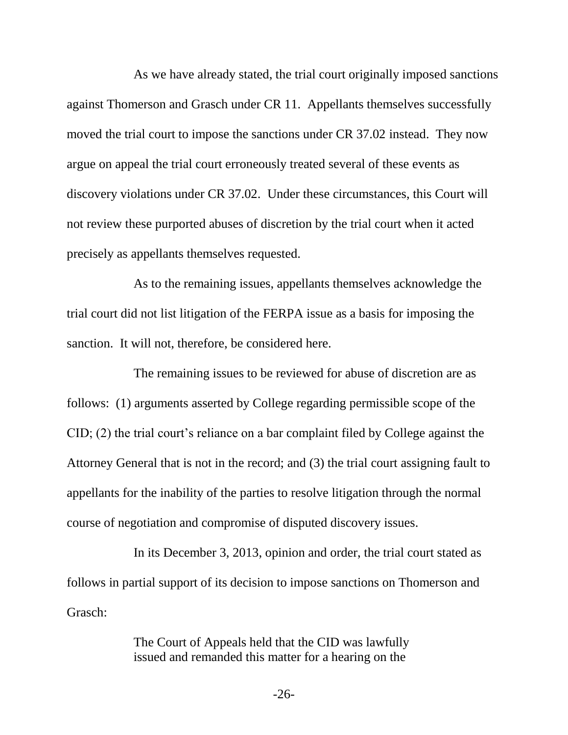As we have already stated, the trial court originally imposed sanctions against Thomerson and Grasch under CR 11. Appellants themselves successfully moved the trial court to impose the sanctions under CR 37.02 instead. They now argue on appeal the trial court erroneously treated several of these events as discovery violations under CR 37.02. Under these circumstances, this Court will not review these purported abuses of discretion by the trial court when it acted precisely as appellants themselves requested.

As to the remaining issues, appellants themselves acknowledge the trial court did not list litigation of the FERPA issue as a basis for imposing the sanction. It will not, therefore, be considered here.

The remaining issues to be reviewed for abuse of discretion are as follows: (1) arguments asserted by College regarding permissible scope of the CID; (2) the trial court's reliance on a bar complaint filed by College against the Attorney General that is not in the record; and (3) the trial court assigning fault to appellants for the inability of the parties to resolve litigation through the normal course of negotiation and compromise of disputed discovery issues.

In its December 3, 2013, opinion and order, the trial court stated as follows in partial support of its decision to impose sanctions on Thomerson and Grasch:

> The Court of Appeals held that the CID was lawfully issued and remanded this matter for a hearing on the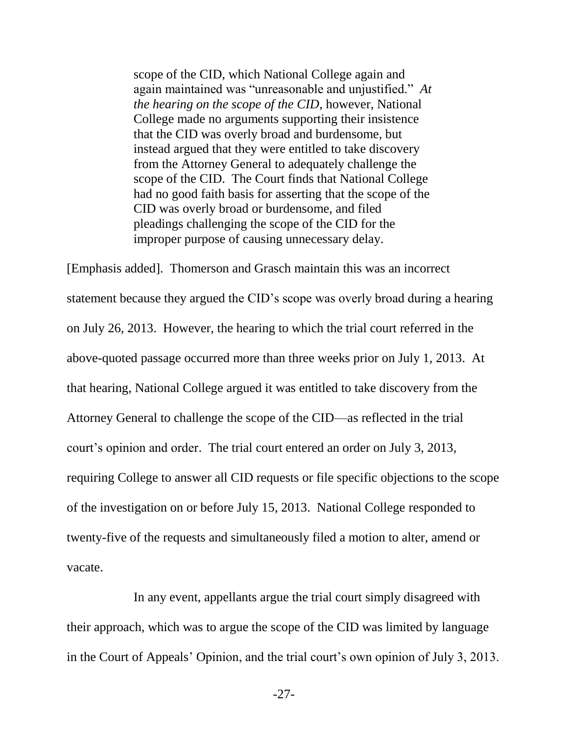scope of the CID, which National College again and again maintained was "unreasonable and unjustified." *At the hearing on the scope of the CID*, however, National College made no arguments supporting their insistence that the CID was overly broad and burdensome, but instead argued that they were entitled to take discovery from the Attorney General to adequately challenge the scope of the CID. The Court finds that National College had no good faith basis for asserting that the scope of the CID was overly broad or burdensome, and filed pleadings challenging the scope of the CID for the improper purpose of causing unnecessary delay.

[Emphasis added]. Thomerson and Grasch maintain this was an incorrect statement because they argued the CID's scope was overly broad during a hearing on July 26, 2013. However, the hearing to which the trial court referred in the above-quoted passage occurred more than three weeks prior on July 1, 2013. At that hearing, National College argued it was entitled to take discovery from the Attorney General to challenge the scope of the CID—as reflected in the trial court's opinion and order. The trial court entered an order on July 3, 2013, requiring College to answer all CID requests or file specific objections to the scope of the investigation on or before July 15, 2013. National College responded to twenty-five of the requests and simultaneously filed a motion to alter, amend or vacate.

In any event, appellants argue the trial court simply disagreed with their approach, which was to argue the scope of the CID was limited by language in the Court of Appeals' Opinion, and the trial court's own opinion of July 3, 2013.

-27-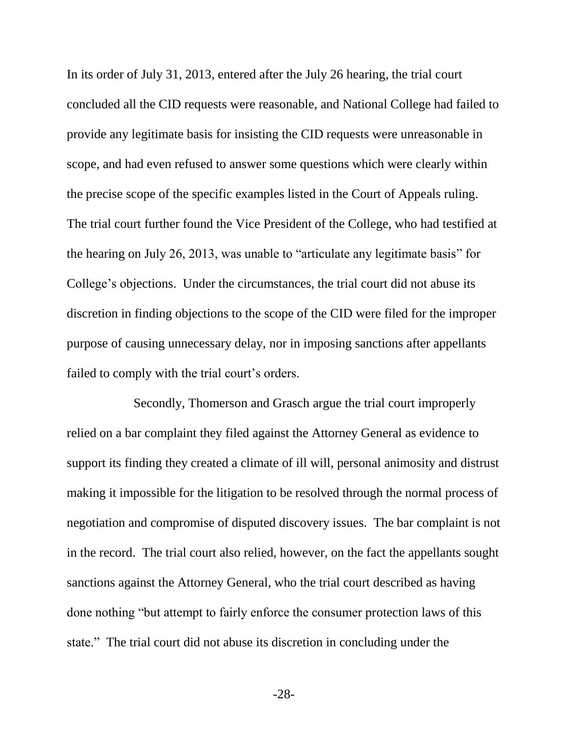In its order of July 31, 2013, entered after the July 26 hearing, the trial court concluded all the CID requests were reasonable, and National College had failed to provide any legitimate basis for insisting the CID requests were unreasonable in scope, and had even refused to answer some questions which were clearly within the precise scope of the specific examples listed in the Court of Appeals ruling. The trial court further found the Vice President of the College, who had testified at the hearing on July 26, 2013, was unable to "articulate any legitimate basis" for College's objections. Under the circumstances, the trial court did not abuse its discretion in finding objections to the scope of the CID were filed for the improper purpose of causing unnecessary delay, nor in imposing sanctions after appellants failed to comply with the trial court's orders.

Secondly, Thomerson and Grasch argue the trial court improperly relied on a bar complaint they filed against the Attorney General as evidence to support its finding they created a climate of ill will, personal animosity and distrust making it impossible for the litigation to be resolved through the normal process of negotiation and compromise of disputed discovery issues. The bar complaint is not in the record. The trial court also relied, however, on the fact the appellants sought sanctions against the Attorney General, who the trial court described as having done nothing "but attempt to fairly enforce the consumer protection laws of this state." The trial court did not abuse its discretion in concluding under the

-28-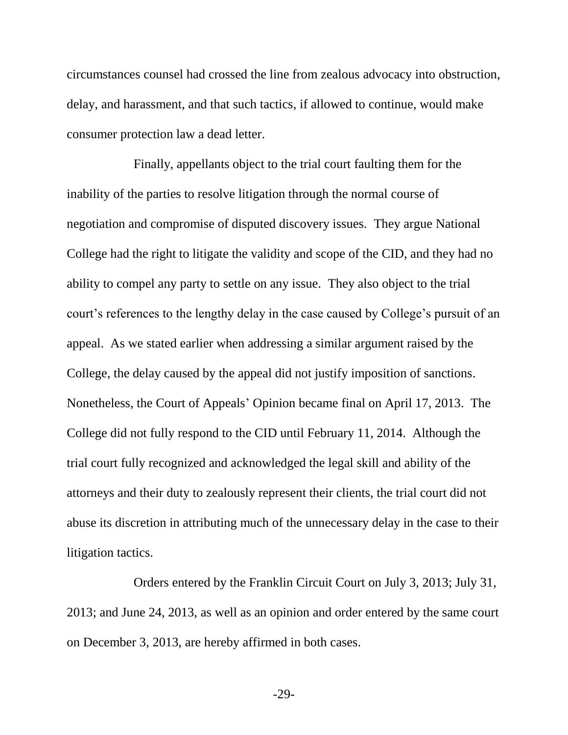circumstances counsel had crossed the line from zealous advocacy into obstruction, delay, and harassment, and that such tactics, if allowed to continue, would make consumer protection law a dead letter.

Finally, appellants object to the trial court faulting them for the inability of the parties to resolve litigation through the normal course of negotiation and compromise of disputed discovery issues. They argue National College had the right to litigate the validity and scope of the CID, and they had no ability to compel any party to settle on any issue. They also object to the trial court's references to the lengthy delay in the case caused by College's pursuit of an appeal. As we stated earlier when addressing a similar argument raised by the College, the delay caused by the appeal did not justify imposition of sanctions. Nonetheless, the Court of Appeals' Opinion became final on April 17, 2013. The College did not fully respond to the CID until February 11, 2014. Although the trial court fully recognized and acknowledged the legal skill and ability of the attorneys and their duty to zealously represent their clients, the trial court did not abuse its discretion in attributing much of the unnecessary delay in the case to their litigation tactics.

Orders entered by the Franklin Circuit Court on July 3, 2013; July 31, 2013; and June 24, 2013, as well as an opinion and order entered by the same court on December 3, 2013, are hereby affirmed in both cases.

-29-